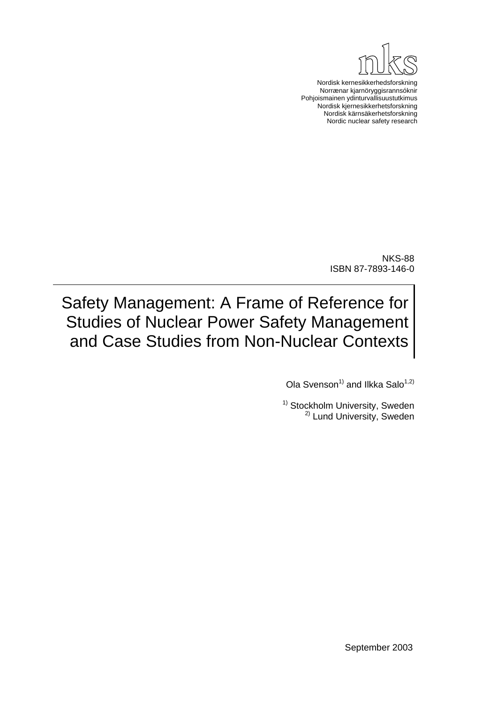

Nordisk kernesikkerhedsforskning Norrænar kjarnöryggisrannsóknir Pohjoismainen ydinturvallisuustutkimus Nordisk kjernesikkerhetsforskning Nordisk kärnsäkerhetsforskning Nordic nuclear safety research

> NKS-88 ISBN 87-7893-146-0

Safety Management: A Frame of Reference for Studies of Nuclear Power Safety Management and Case Studies from Non-Nuclear Contexts

Ola Svenson<sup>1)</sup> and Ilkka Salo<sup>1,2)</sup>

<sup>1)</sup> Stockholm University, Sweden <sup>2)</sup> Lund University, Sweden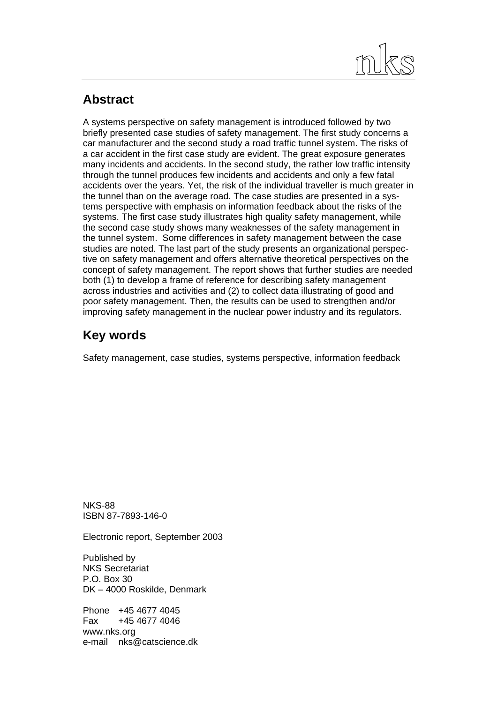

# **Abstract**

A systems perspective on safety management is introduced followed by two briefly presented case studies of safety management. The first study concerns a car manufacturer and the second study a road traffic tunnel system. The risks of a car accident in the first case study are evident. The great exposure generates many incidents and accidents. In the second study, the rather low traffic intensity through the tunnel produces few incidents and accidents and only a few fatal accidents over the years. Yet, the risk of the individual traveller is much greater in the tunnel than on the average road. The case studies are presented in a systems perspective with emphasis on information feedback about the risks of the systems. The first case study illustrates high quality safety management, while the second case study shows many weaknesses of the safety management in the tunnel system. Some differences in safety management between the case studies are noted. The last part of the study presents an organizational perspective on safety management and offers alternative theoretical perspectives on the concept of safety management. The report shows that further studies are needed both (1) to develop a frame of reference for describing safety management across industries and activities and (2) to collect data illustrating of good and poor safety management. Then, the results can be used to strengthen and/or improving safety management in the nuclear power industry and its regulators.

# **Key words**

Safety management, case studies, systems perspective, information feedback

NKS-88 ISBN 87-7893-146-0

Electronic report, September 2003

Published by NKS Secretariat P.O. Box 30 DK – 4000 Roskilde, Denmark

Phone +45 4677 4045 Fax +45 4677 4046 www.nks.org e-mail nks@catscience.dk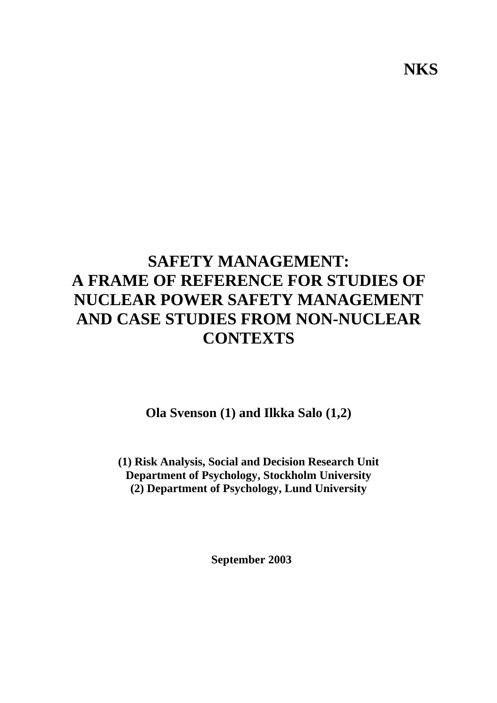# **SAFETY MANAGEMENT: A FRAME OF REFERENCE FOR STUDIES OF NUCLEAR POWER SAFETY MANAGEMENT AND CASE STUDIES FROM NON-NUCLEAR CONTEXTS**

**Ola Svenson (1) and Ilkka Salo (1,2)** 

**(1) Risk Analysis, Social and Decision Research Unit Department of Psychology, Stockholm University (2) Department of Psychology, Lund University** 

**September 2003** 

**NKS**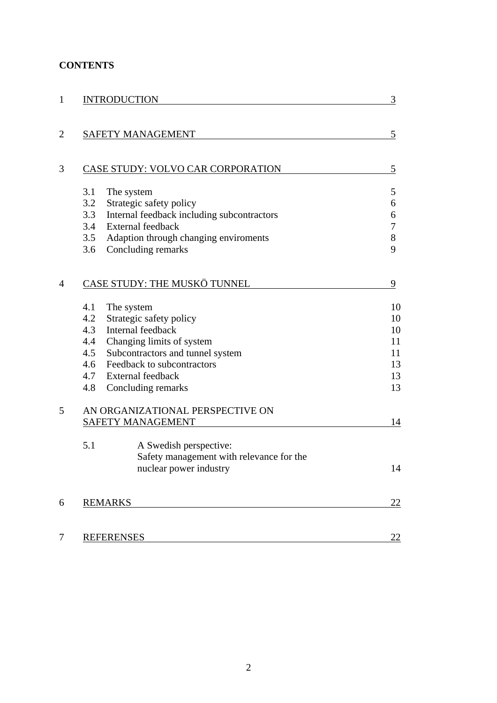## **CONTENTS**

| $\mathbf{1}$   | <b>INTRODUCTION</b>                               | 3  |
|----------------|---------------------------------------------------|----|
|                |                                                   |    |
| $\overline{2}$ | <b>SAFETY MANAGEMENT</b>                          | 5  |
| 3              | CASE STUDY: VOLVO CAR CORPORATION                 | 5  |
|                |                                                   |    |
|                | 3.1<br>The system                                 | 5  |
|                | 3.2<br>Strategic safety policy                    | 6  |
|                | 3.3<br>Internal feedback including subcontractors | 6  |
|                | 3.4<br><b>External feedback</b>                   | 7  |
|                | 3.5<br>Adaption through changing enviroments      | 8  |
|                | 3.6<br>Concluding remarks                         | 9  |
| $\overline{4}$ | CASE STUDY: THE MUSKÖ TUNNEL                      | 9  |
|                | 4.1<br>The system                                 | 10 |
|                | 4.2<br>Strategic safety policy                    | 10 |
|                | Internal feedback<br>4.3                          | 10 |
|                | 4.4<br>Changing limits of system                  | 11 |
|                | 4.5<br>Subcontractors and tunnel system           | 11 |
|                | Feedback to subcontractors<br>4.6                 | 13 |
|                | 4.7<br><b>External feedback</b>                   | 13 |
|                | 4.8<br>Concluding remarks                         | 13 |
| 5              | AN ORGANIZATIONAL PERSPECTIVE ON                  |    |
|                | SAFETY MANAGEMENT                                 | 14 |
|                | 5.1<br>A Swedish perspective:                     |    |
|                | Safety management with relevance for the          |    |
|                | nuclear power industry                            | 14 |
| 6              | <b>REMARKS</b>                                    | 22 |
|                |                                                   |    |
| 7              | <b>REFERENSES</b>                                 | 22 |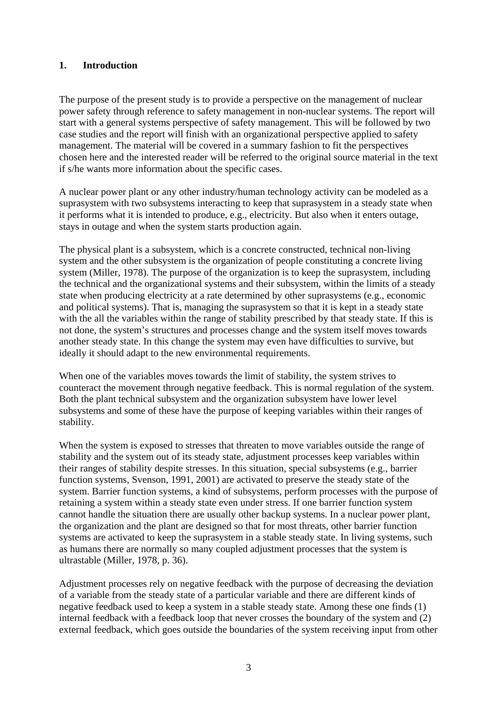#### **1. Introduction**

The purpose of the present study is to provide a perspective on the management of nuclear power safety through reference to safety management in non-nuclear systems. The report will start with a general systems perspective of safety management. This will be followed by two case studies and the report will finish with an organizational perspective applied to safety management. The material will be covered in a summary fashion to fit the perspectives chosen here and the interested reader will be referred to the original source material in the text if s/he wants more information about the specific cases.

A nuclear power plant or any other industry/human technology activity can be modeled as a suprasystem with two subsystems interacting to keep that suprasystem in a steady state when it performs what it is intended to produce, e.g., electricity. But also when it enters outage, stays in outage and when the system starts production again.

The physical plant is a subsystem, which is a concrete constructed, technical non-living system and the other subsystem is the organization of people constituting a concrete living system (Miller, 1978). The purpose of the organization is to keep the suprasystem, including the technical and the organizational systems and their subsystem, within the limits of a steady state when producing electricity at a rate determined by other suprasystems (e.g., economic and political systems). That is, managing the suprasystem so that it is kept in a steady state with the all the variables within the range of stability prescribed by that steady state. If this is not done, the system's structures and processes change and the system itself moves towards another steady state. In this change the system may even have difficulties to survive, but ideally it should adapt to the new environmental requirements.

When one of the variables moves towards the limit of stability, the system strives to counteract the movement through negative feedback. This is normal regulation of the system. Both the plant technical subsystem and the organization subsystem have lower level subsystems and some of these have the purpose of keeping variables within their ranges of stability.

When the system is exposed to stresses that threaten to move variables outside the range of stability and the system out of its steady state, adjustment processes keep variables within their ranges of stability despite stresses. In this situation, special subsystems (e.g., barrier function systems, Svenson, 1991, 2001) are activated to preserve the steady state of the system. Barrier function systems, a kind of subsystems, perform processes with the purpose of retaining a system within a steady state even under stress. If one barrier function system cannot handle the situation there are usually other backup systems. In a nuclear power plant, the organization and the plant are designed so that for most threats, other barrier function systems are activated to keep the suprasystem in a stable steady state. In living systems, such as humans there are normally so many coupled adjustment processes that the system is ultrastable (Miller, 1978, p. 36).

Adjustment processes rely on negative feedback with the purpose of decreasing the deviation of a variable from the steady state of a particular variable and there are different kinds of negative feedback used to keep a system in a stable steady state. Among these one finds (1) internal feedback with a feedback loop that never crosses the boundary of the system and (2) external feedback, which goes outside the boundaries of the system receiving input from other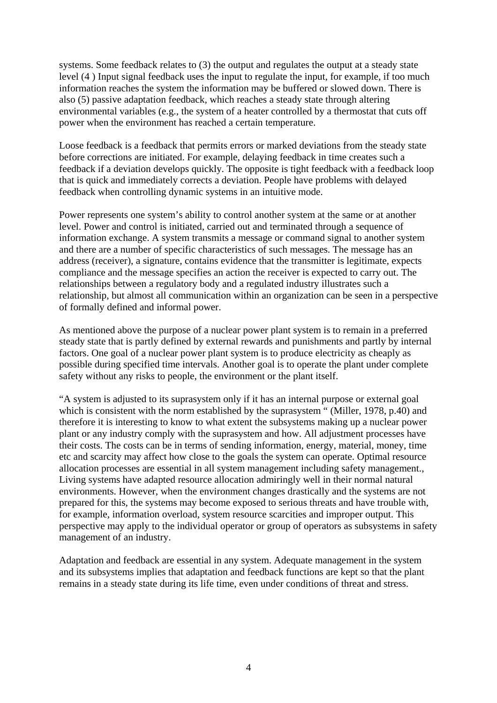systems. Some feedback relates to (3) the output and regulates the output at a steady state level (4 ) Input signal feedback uses the input to regulate the input, for example, if too much information reaches the system the information may be buffered or slowed down. There is also (5) passive adaptation feedback*,* which reaches a steady state through altering environmental variables (e.g., the system of a heater controlled by a thermostat that cuts off power when the environment has reached a certain temperature.

Loose feedback is a feedback that permits errors or marked deviations from the steady state before corrections are initiated. For example, delaying feedback in time creates such a feedback if a deviation develops quickly. The opposite is tight feedback with a feedback loop that is quick and immediately corrects a deviation. People have problems with delayed feedback when controlling dynamic systems in an intuitive mode.

Power represents one system's ability to control another system at the same or at another level. Power and control is initiated, carried out and terminated through a sequence of information exchange. A system transmits a message or command signal to another system and there are a number of specific characteristics of such messages. The message has an address (receiver), a signature, contains evidence that the transmitter is legitimate*,* expects compliance and the message specifies an action the receiver is expected to carry out. The relationships between a regulatory body and a regulated industry illustrates such a relationship, but almost all communication within an organization can be seen in a perspective of formally defined and informal power.

As mentioned above the purpose of a nuclear power plant system is to remain in a preferred steady state that is partly defined by external rewards and punishments and partly by internal factors. One goal of a nuclear power plant system is to produce electricity as cheaply as possible during specified time intervals. Another goal is to operate the plant under complete safety without any risks to people, the environment or the plant itself.

"A system is adjusted to its suprasystem only if it has an internal purpose or external goal which is consistent with the norm established by the suprasystem " (Miller, 1978, p.40) and therefore it is interesting to know to what extent the subsystems making up a nuclear power plant or any industry comply with the suprasystem and how. All adjustment processes have their costs. The costs can be in terms of sending information, energy, material, money, time etc and scarcity may affect how close to the goals the system can operate. Optimal resource allocation processes are essential in all system management including safety management., Living systems have adapted resource allocation admiringly well in their normal natural environments. However, when the environment changes drastically and the systems are not prepared for this, the systems may become exposed to serious threats and have trouble with, for example, information overload, system resource scarcities and improper output. This perspective may apply to the individual operator or group of operators as subsystems in safety management of an industry.

Adaptation and feedback are essential in any system. Adequate management in the system and its subsystems implies that adaptation and feedback functions are kept so that the plant remains in a steady state during its life time, even under conditions of threat and stress.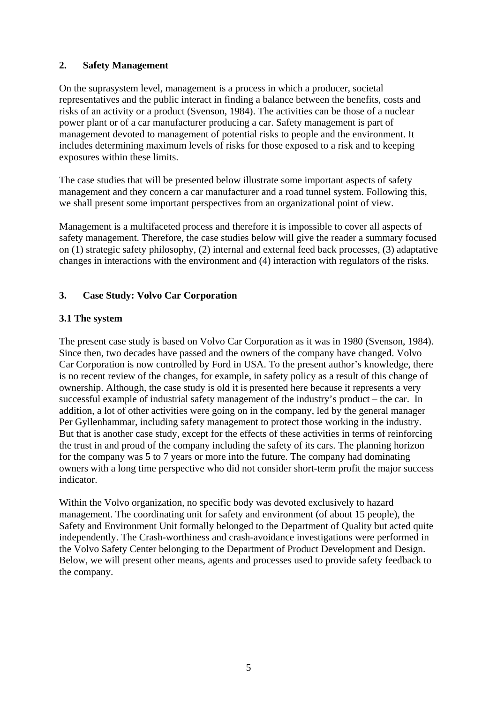### **2. Safety Management**

On the suprasystem level, management is a process in which a producer, societal representatives and the public interact in finding a balance between the benefits, costs and risks of an activity or a product (Svenson, 1984). The activities can be those of a nuclear power plant or of a car manufacturer producing a car. Safety management is part of management devoted to management of potential risks to people and the environment. It includes determining maximum levels of risks for those exposed to a risk and to keeping exposures within these limits.

The case studies that will be presented below illustrate some important aspects of safety management and they concern a car manufacturer and a road tunnel system. Following this, we shall present some important perspectives from an organizational point of view.

Management is a multifaceted process and therefore it is impossible to cover all aspects of safety management. Therefore, the case studies below will give the reader a summary focused on (1) strategic safety philosophy, (2) internal and external feed back processes, (3) adaptative changes in interactions with the environment and (4) interaction with regulators of the risks.

### **3. Case Study: Volvo Car Corporation**

### **3.1 The system**

The present case study is based on Volvo Car Corporation as it was in 1980 (Svenson, 1984). Since then, two decades have passed and the owners of the company have changed. Volvo Car Corporation is now controlled by Ford in USA. To the present author's knowledge, there is no recent review of the changes, for example, in safety policy as a result of this change of ownership. Although, the case study is old it is presented here because it represents a very successful example of industrial safety management of the industry's product – the car. In addition, a lot of other activities were going on in the company, led by the general manager Per Gyllenhammar, including safety management to protect those working in the industry. But that is another case study, except for the effects of these activities in terms of reinforcing the trust in and proud of the company including the safety of its cars. The planning horizon for the company was 5 to 7 years or more into the future. The company had dominating owners with a long time perspective who did not consider short-term profit the major success indicator.

Within the Volvo organization, no specific body was devoted exclusively to hazard management. The coordinating unit for safety and environment (of about 15 people), the Safety and Environment Unit formally belonged to the Department of Quality but acted quite independently. The Crash-worthiness and crash-avoidance investigations were performed in the Volvo Safety Center belonging to the Department of Product Development and Design. Below, we will present other means, agents and processes used to provide safety feedback to the company.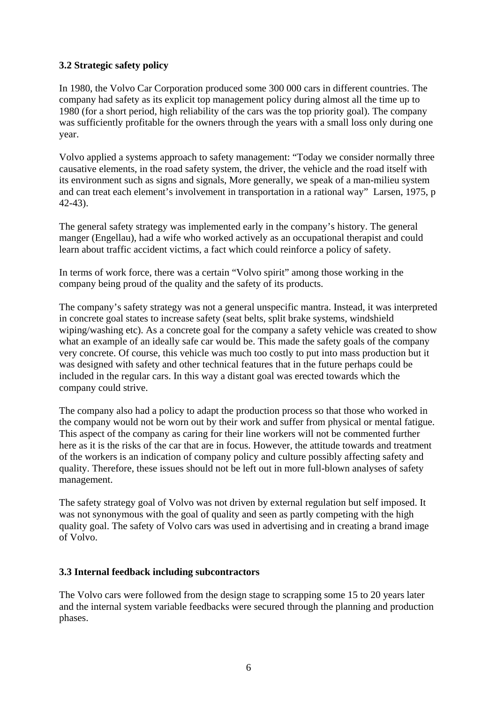### **3.2 Strategic safety policy**

In 1980, the Volvo Car Corporation produced some 300 000 cars in different countries. The company had safety as its explicit top management policy during almost all the time up to 1980 (for a short period, high reliability of the cars was the top priority goal). The company was sufficiently profitable for the owners through the years with a small loss only during one year.

Volvo applied a systems approach to safety management: "Today we consider normally three causative elements, in the road safety system, the driver, the vehicle and the road itself with its environment such as signs and signals, More generally, we speak of a man-milieu system and can treat each element's involvement in transportation in a rational way" Larsen, 1975, p 42-43).

The general safety strategy was implemented early in the company's history. The general manger (Engellau), had a wife who worked actively as an occupational therapist and could learn about traffic accident victims, a fact which could reinforce a policy of safety.

In terms of work force, there was a certain "Volvo spirit" among those working in the company being proud of the quality and the safety of its products.

The company's safety strategy was not a general unspecific mantra. Instead, it was interpreted in concrete goal states to increase safety (seat belts, split brake systems, windshield wiping/washing etc). As a concrete goal for the company a safety vehicle was created to show what an example of an ideally safe car would be. This made the safety goals of the company very concrete. Of course, this vehicle was much too costly to put into mass production but it was designed with safety and other technical features that in the future perhaps could be included in the regular cars. In this way a distant goal was erected towards which the company could strive.

The company also had a policy to adapt the production process so that those who worked in the company would not be worn out by their work and suffer from physical or mental fatigue. This aspect of the company as caring for their line workers will not be commented further here as it is the risks of the car that are in focus. However, the attitude towards and treatment of the workers is an indication of company policy and culture possibly affecting safety and quality. Therefore, these issues should not be left out in more full-blown analyses of safety management.

The safety strategy goal of Volvo was not driven by external regulation but self imposed. It was not synonymous with the goal of quality and seen as partly competing with the high quality goal. The safety of Volvo cars was used in advertising and in creating a brand image of Volvo.

#### **3.3 Internal feedback including subcontractors**

The Volvo cars were followed from the design stage to scrapping some 15 to 20 years later and the internal system variable feedbacks were secured through the planning and production phases.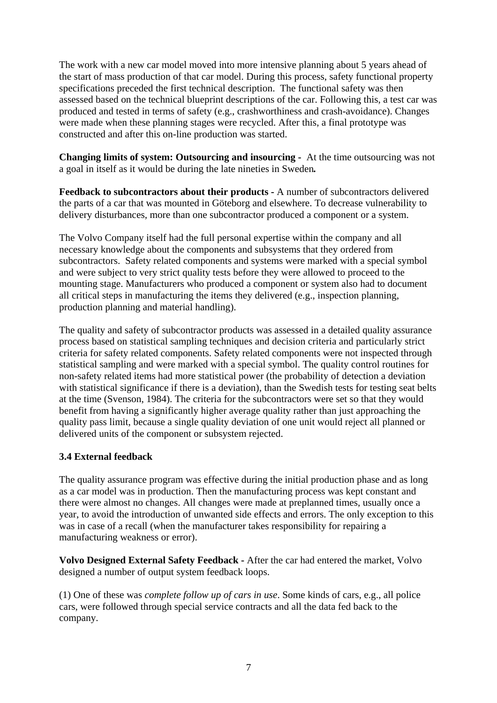The work with a new car model moved into more intensive planning about 5 years ahead of the start of mass production of that car model. During this process, safety functional property specifications preceded the first technical description. The functional safety was then assessed based on the technical blueprint descriptions of the car. Following this, a test car was produced and tested in terms of safety (e.g., crashworthiness and crash-avoidance). Changes were made when these planning stages were recycled. After this, a final prototype was constructed and after this on-line production was started.

**Changing limits of system: Outsourcing and insourcing -** At the time outsourcing was not a goal in itself as it would be during the late nineties in Sweden*.* 

**Feedback to subcontractors about their products -** A number of subcontractors delivered the parts of a car that was mounted in Göteborg and elsewhere. To decrease vulnerability to delivery disturbances, more than one subcontractor produced a component or a system.

The Volvo Company itself had the full personal expertise within the company and all necessary knowledge about the components and subsystems that they ordered from subcontractors. Safety related components and systems were marked with a special symbol and were subject to very strict quality tests before they were allowed to proceed to the mounting stage. Manufacturers who produced a component or system also had to document all critical steps in manufacturing the items they delivered (e.g., inspection planning, production planning and material handling).

The quality and safety of subcontractor products was assessed in a detailed quality assurance process based on statistical sampling techniques and decision criteria and particularly strict criteria for safety related components. Safety related components were not inspected through statistical sampling and were marked with a special symbol. The quality control routines for non-safety related items had more statistical power (the probability of detection a deviation with statistical significance if there is a deviation), than the Swedish tests for testing seat belts at the time (Svenson, 1984). The criteria for the subcontractors were set so that they would benefit from having a significantly higher average quality rather than just approaching the quality pass limit, because a single quality deviation of one unit would reject all planned or delivered units of the component or subsystem rejected.

### **3.4 External feedback**

The quality assurance program was effective during the initial production phase and as long as a car model was in production. Then the manufacturing process was kept constant and there were almost no changes. All changes were made at preplanned times, usually once a year, to avoid the introduction of unwanted side effects and errors. The only exception to this was in case of a recall (when the manufacturer takes responsibility for repairing a manufacturing weakness or error).

**Volvo Designed External Safety Feedback -** After the car had entered the market, Volvo designed a number of output system feedback loops.

(1) One of these was *complete follow up of cars in use*. Some kinds of cars, e.g., all police cars, were followed through special service contracts and all the data fed back to the company.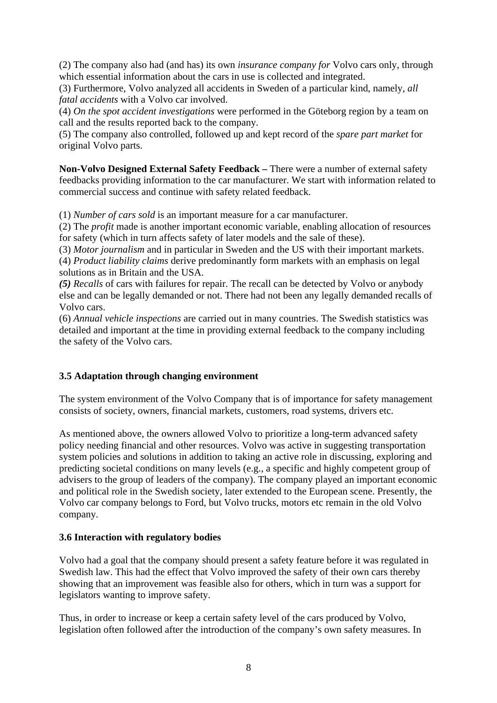(2) The company also had (and has) its own *insurance company for* Volvo cars only, through which essential information about the cars in use is collected and integrated.

(3) Furthermore, Volvo analyzed all accidents in Sweden of a particular kind, namely, *all fatal accidents* with a Volvo car involved.

(4) *On the spot accident investigations* were performed in the Göteborg region by a team on call and the results reported back to the company.

(5) The company also controlled, followed up and kept record of the *spare part market* for original Volvo parts.

**Non-Volvo Designed External Safety Feedback –** There were a number of external safety feedbacks providing information to the car manufacturer. We start with information related to commercial success and continue with safety related feedback.

(1) *Number of cars sold* is an important measure for a car manufacturer.

(2) The *profit* made is another important economic variable, enabling allocation of resources for safety (which in turn affects safety of later models and the sale of these).

(3) *Motor journalism* and in particular in Sweden and the US with their important markets.

(4) *Product liability claims* derive predominantly form markets with an emphasis on legal solutions as in Britain and the USA.

*(5) Recalls* of cars with failures for repair. The recall can be detected by Volvo or anybody else and can be legally demanded or not. There had not been any legally demanded recalls of Volvo cars.

(6) *Annual vehicle inspections* are carried out in many countries. The Swedish statistics was detailed and important at the time in providing external feedback to the company including the safety of the Volvo cars.

#### **3.5 Adaptation through changing environment**

The system environment of the Volvo Company that is of importance for safety management consists of society, owners, financial markets, customers, road systems, drivers etc.

As mentioned above, the owners allowed Volvo to prioritize a long-term advanced safety policy needing financial and other resources. Volvo was active in suggesting transportation system policies and solutions in addition to taking an active role in discussing, exploring and predicting societal conditions on many levels (e.g., a specific and highly competent group of advisers to the group of leaders of the company). The company played an important economic and political role in the Swedish society, later extended to the European scene. Presently, the Volvo car company belongs to Ford, but Volvo trucks, motors etc remain in the old Volvo company.

#### **3.6 Interaction with regulatory bodies**

Volvo had a goal that the company should present a safety feature before it was regulated in Swedish law. This had the effect that Volvo improved the safety of their own cars thereby showing that an improvement was feasible also for others, which in turn was a support for legislators wanting to improve safety.

Thus, in order to increase or keep a certain safety level of the cars produced by Volvo, legislation often followed after the introduction of the company's own safety measures. In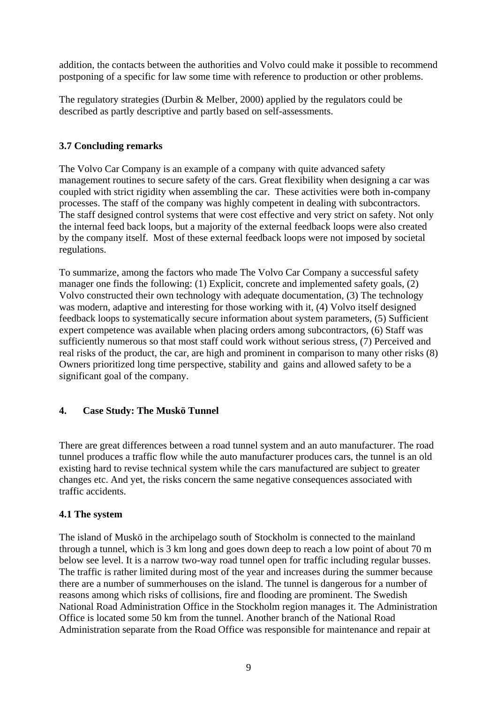addition, the contacts between the authorities and Volvo could make it possible to recommend postponing of a specific for law some time with reference to production or other problems.

The regulatory strategies (Durbin & Melber, 2000) applied by the regulators could be described as partly descriptive and partly based on self-assessments.

### **3.7 Concluding remarks**

The Volvo Car Company is an example of a company with quite advanced safety management routines to secure safety of the cars. Great flexibility when designing a car was coupled with strict rigidity when assembling the car. These activities were both in-company processes. The staff of the company was highly competent in dealing with subcontractors. The staff designed control systems that were cost effective and very strict on safety. Not only the internal feed back loops, but a majority of the external feedback loops were also created by the company itself. Most of these external feedback loops were not imposed by societal regulations.

To summarize, among the factors who made The Volvo Car Company a successful safety manager one finds the following: (1) Explicit, concrete and implemented safety goals, (2) Volvo constructed their own technology with adequate documentation, (3) The technology was modern, adaptive and interesting for those working with it, (4) Volvo itself designed feedback loops to systematically secure information about system parameters, (5) Sufficient expert competence was available when placing orders among subcontractors, (6) Staff was sufficiently numerous so that most staff could work without serious stress, (7) Perceived and real risks of the product, the car, are high and prominent in comparison to many other risks (8) Owners prioritized long time perspective, stability and gains and allowed safety to be a significant goal of the company.

#### **4. Case Study: The Muskö Tunnel**

There are great differences between a road tunnel system and an auto manufacturer. The road tunnel produces a traffic flow while the auto manufacturer produces cars, the tunnel is an old existing hard to revise technical system while the cars manufactured are subject to greater changes etc. And yet, the risks concern the same negative consequences associated with traffic accidents.

#### **4.1 The system**

The island of Muskö in the archipelago south of Stockholm is connected to the mainland through a tunnel, which is 3 km long and goes down deep to reach a low point of about 70 m below see level. It is a narrow two-way road tunnel open for traffic including regular busses. The traffic is rather limited during most of the year and increases during the summer because there are a number of summerhouses on the island. The tunnel is dangerous for a number of reasons among which risks of collisions, fire and flooding are prominent. The Swedish National Road Administration Office in the Stockholm region manages it. The Administration Office is located some 50 km from the tunnel. Another branch of the National Road Administration separate from the Road Office was responsible for maintenance and repair at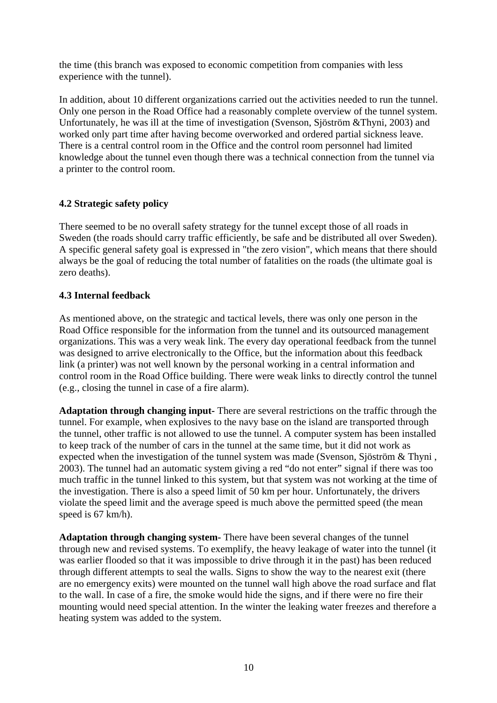the time (this branch was exposed to economic competition from companies with less experience with the tunnel).

In addition, about 10 different organizations carried out the activities needed to run the tunnel. Only one person in the Road Office had a reasonably complete overview of the tunnel system. Unfortunately, he was ill at the time of investigation (Svenson, Sjöström &Thyni, 2003) and worked only part time after having become overworked and ordered partial sickness leave. There is a central control room in the Office and the control room personnel had limited knowledge about the tunnel even though there was a technical connection from the tunnel via a printer to the control room.

### **4.2 Strategic safety policy**

There seemed to be no overall safety strategy for the tunnel except those of all roads in Sweden (the roads should carry traffic efficiently, be safe and be distributed all over Sweden). A specific general safety goal is expressed in "the zero vision", which means that there should always be the goal of reducing the total number of fatalities on the roads (the ultimate goal is zero deaths).

### **4.3 Internal feedback**

As mentioned above, on the strategic and tactical levels, there was only one person in the Road Office responsible for the information from the tunnel and its outsourced management organizations. This was a very weak link. The every day operational feedback from the tunnel was designed to arrive electronically to the Office, but the information about this feedback link (a printer) was not well known by the personal working in a central information and control room in the Road Office building. There were weak links to directly control the tunnel (e.g., closing the tunnel in case of a fire alarm).

**Adaptation through changing input-** There are several restrictions on the traffic through the tunnel. For example, when explosives to the navy base on the island are transported through the tunnel, other traffic is not allowed to use the tunnel. A computer system has been installed to keep track of the number of cars in the tunnel at the same time, but it did not work as expected when the investigation of the tunnel system was made (Svenson, Sjöström & Thyni , 2003). The tunnel had an automatic system giving a red "do not enter" signal if there was too much traffic in the tunnel linked to this system, but that system was not working at the time of the investigation. There is also a speed limit of 50 km per hour. Unfortunately, the drivers violate the speed limit and the average speed is much above the permitted speed (the mean speed is 67 km/h).

**Adaptation through changing system-** There have been several changes of the tunnel through new and revised systems. To exemplify, the heavy leakage of water into the tunnel (it was earlier flooded so that it was impossible to drive through it in the past) has been reduced through different attempts to seal the walls. Signs to show the way to the nearest exit (there are no emergency exits) were mounted on the tunnel wall high above the road surface and flat to the wall. In case of a fire, the smoke would hide the signs, and if there were no fire their mounting would need special attention. In the winter the leaking water freezes and therefore a heating system was added to the system.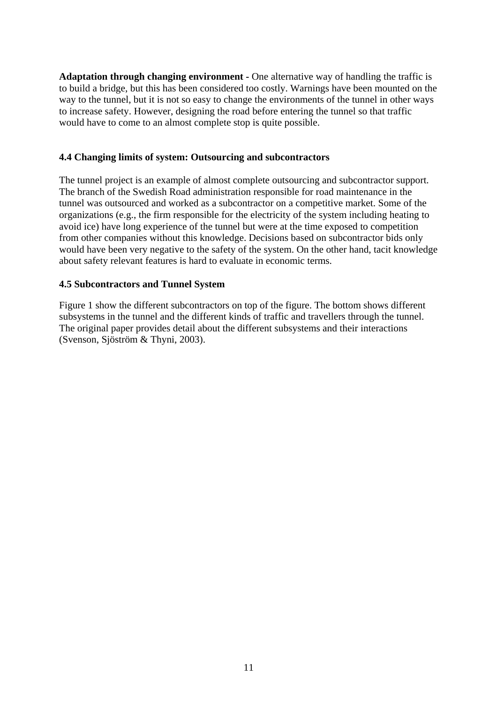**Adaptation through changing environment -** One alternative way of handling the traffic is to build a bridge, but this has been considered too costly. Warnings have been mounted on the way to the tunnel, but it is not so easy to change the environments of the tunnel in other ways to increase safety. However, designing the road before entering the tunnel so that traffic would have to come to an almost complete stop is quite possible.

#### **4.4 Changing limits of system: Outsourcing and subcontractors**

The tunnel project is an example of almost complete outsourcing and subcontractor support. The branch of the Swedish Road administration responsible for road maintenance in the tunnel was outsourced and worked as a subcontractor on a competitive market. Some of the organizations (e.g., the firm responsible for the electricity of the system including heating to avoid ice) have long experience of the tunnel but were at the time exposed to competition from other companies without this knowledge. Decisions based on subcontractor bids only would have been very negative to the safety of the system. On the other hand, tacit knowledge about safety relevant features is hard to evaluate in economic terms.

#### **4.5 Subcontractors and Tunnel System**

Figure 1 show the different subcontractors on top of the figure. The bottom shows different subsystems in the tunnel and the different kinds of traffic and travellers through the tunnel. The original paper provides detail about the different subsystems and their interactions (Svenson, Sjöström & Thyni, 2003).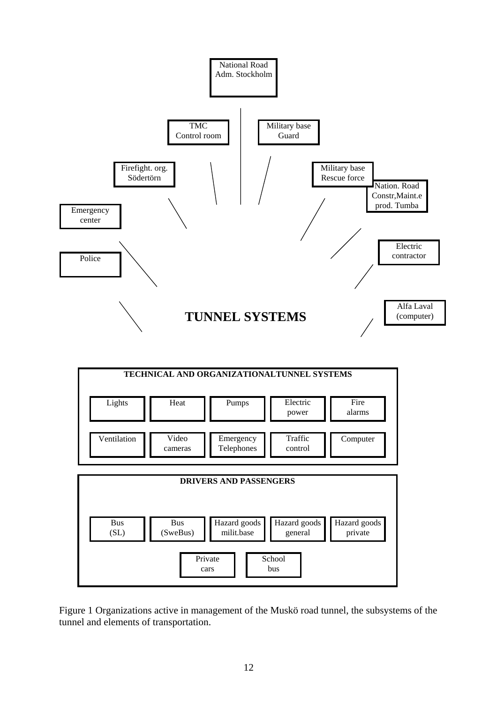

Figure 1 Organizations active in management of the Muskö road tunnel, the subsystems of the tunnel and elements of transportation.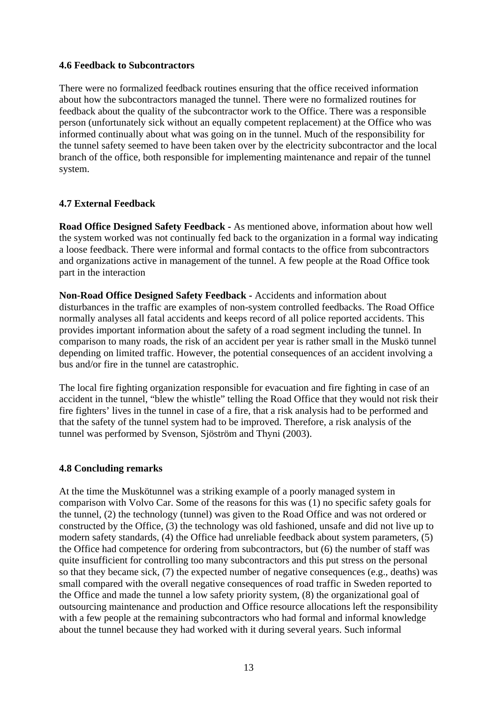#### **4.6 Feedback to Subcontractors**

There were no formalized feedback routines ensuring that the office received information about how the subcontractors managed the tunnel. There were no formalized routines for feedback about the quality of the subcontractor work to the Office. There was a responsible person (unfortunately sick without an equally competent replacement) at the Office who was informed continually about what was going on in the tunnel. Much of the responsibility for the tunnel safety seemed to have been taken over by the electricity subcontractor and the local branch of the office, both responsible for implementing maintenance and repair of the tunnel system.

### **4.7 External Feedback**

**Road Office Designed Safety Feedback -** As mentioned above, information about how well the system worked was not continually fed back to the organization in a formal way indicating a loose feedback. There were informal and formal contacts to the office from subcontractors and organizations active in management of the tunnel. A few people at the Road Office took part in the interaction

**Non-Road Office Designed Safety Feedback -** Accidents and information about disturbances in the traffic are examples of non-system controlled feedbacks. The Road Office normally analyses all fatal accidents and keeps record of all police reported accidents. This provides important information about the safety of a road segment including the tunnel. In comparison to many roads, the risk of an accident per year is rather small in the Muskö tunnel depending on limited traffic. However, the potential consequences of an accident involving a bus and/or fire in the tunnel are catastrophic.

The local fire fighting organization responsible for evacuation and fire fighting in case of an accident in the tunnel, "blew the whistle" telling the Road Office that they would not risk their fire fighters' lives in the tunnel in case of a fire, that a risk analysis had to be performed and that the safety of the tunnel system had to be improved. Therefore, a risk analysis of the tunnel was performed by Svenson, Sjöström and Thyni (2003).

#### **4.8 Concluding remarks**

At the time the Muskötunnel was a striking example of a poorly managed system in comparison with Volvo Car. Some of the reasons for this was (1) no specific safety goals for the tunnel, (2) the technology (tunnel) was given to the Road Office and was not ordered or constructed by the Office, (3) the technology was old fashioned, unsafe and did not live up to modern safety standards, (4) the Office had unreliable feedback about system parameters, (5) the Office had competence for ordering from subcontractors, but (6) the number of staff was quite insufficient for controlling too many subcontractors and this put stress on the personal so that they became sick, (7) the expected number of negative consequences (e.g., deaths) was small compared with the overall negative consequences of road traffic in Sweden reported to the Office and made the tunnel a low safety priority system, (8) the organizational goal of outsourcing maintenance and production and Office resource allocations left the responsibility with a few people at the remaining subcontractors who had formal and informal knowledge about the tunnel because they had worked with it during several years. Such informal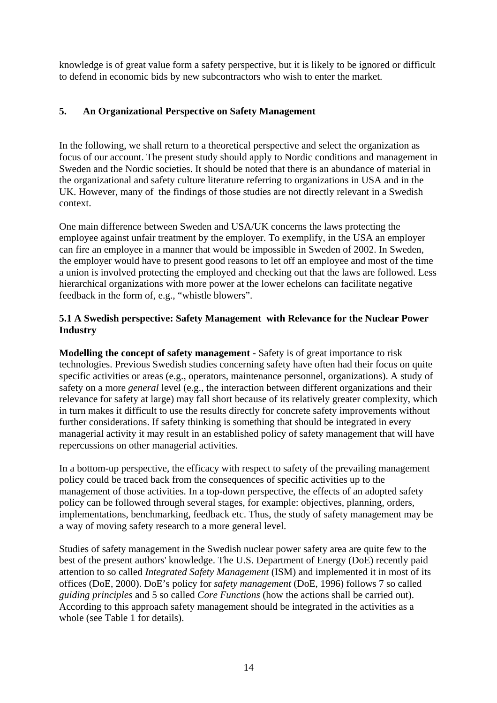knowledge is of great value form a safety perspective, but it is likely to be ignored or difficult to defend in economic bids by new subcontractors who wish to enter the market.

### **5. An Organizational Perspective on Safety Management**

In the following, we shall return to a theoretical perspective and select the organization as focus of our account. The present study should apply to Nordic conditions and management in Sweden and the Nordic societies. It should be noted that there is an abundance of material in the organizational and safety culture literature referring to organizations in USA and in the UK. However, many of the findings of those studies are not directly relevant in a Swedish context.

One main difference between Sweden and USA/UK concerns the laws protecting the employee against unfair treatment by the employer. To exemplify, in the USA an employer can fire an employee in a manner that would be impossible in Sweden of 2002. In Sweden, the employer would have to present good reasons to let off an employee and most of the time a union is involved protecting the employed and checking out that the laws are followed. Less hierarchical organizations with more power at the lower echelons can facilitate negative feedback in the form of, e.g., "whistle blowers".

### **5.1 A Swedish perspective: Safety Management with Relevance for the Nuclear Power Industry**

**Modelling the concept of safety management -** Safety is of great importance to risk technologies. Previous Swedish studies concerning safety have often had their focus on quite specific activities or areas (e.g., operators, maintenance personnel, organizations). A study of safety on a more *general* level (e.g., the interaction between different organizations and their relevance for safety at large) may fall short because of its relatively greater complexity, which in turn makes it difficult to use the results directly for concrete safety improvements without further considerations. If safety thinking is something that should be integrated in every managerial activity it may result in an established policy of safety management that will have repercussions on other managerial activities.

In a bottom-up perspective, the efficacy with respect to safety of the prevailing management policy could be traced back from the consequences of specific activities up to the management of those activities. In a top-down perspective, the effects of an adopted safety policy can be followed through several stages, for example: objectives, planning, orders, implementations, benchmarking, feedback etc. Thus, the study of safety management may be a way of moving safety research to a more general level.

Studies of safety management in the Swedish nuclear power safety area are quite few to the best of the present authors' knowledge. The U.S. Department of Energy (DoE) recently paid attention to so called *Integrated Safety Management* (ISM) and implemented it in most of its offices (DoE, 2000). DoE's policy for *safety management* (DoE, 1996) follows 7 so called *guiding principles* and 5 so called *Core Functions* (how the actions shall be carried out). According to this approach safety management should be integrated in the activities as a whole (see Table 1 for details).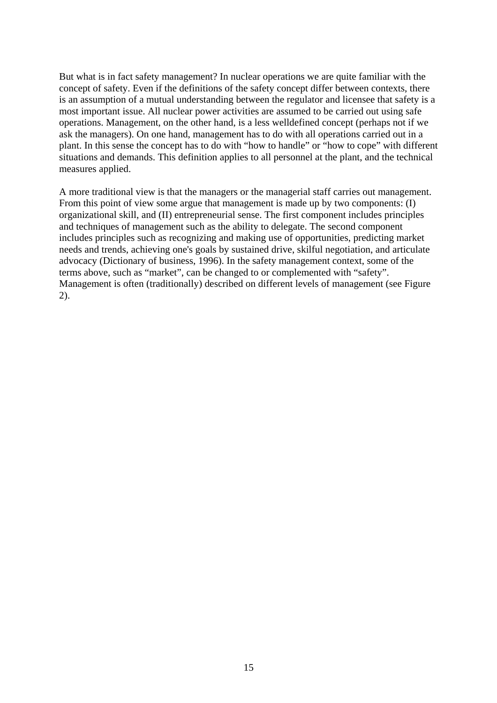But what is in fact safety management? In nuclear operations we are quite familiar with the concept of safety. Even if the definitions of the safety concept differ between contexts, there is an assumption of a mutual understanding between the regulator and licensee that safety is a most important issue. All nuclear power activities are assumed to be carried out using safe operations. Management, on the other hand, is a less welldefined concept (perhaps not if we ask the managers). On one hand, management has to do with all operations carried out in a plant. In this sense the concept has to do with "how to handle" or "how to cope" with different situations and demands. This definition applies to all personnel at the plant, and the technical measures applied.

A more traditional view is that the managers or the managerial staff carries out management. From this point of view some argue that management is made up by two components: (I) organizational skill, and (II) entrepreneurial sense. The first component includes principles and techniques of management such as the ability to delegate. The second component includes principles such as recognizing and making use of opportunities, predicting market needs and trends, achieving one's goals by sustained drive, skilful negotiation, and articulate advocacy (Dictionary of business, 1996). In the safety management context, some of the terms above, such as "market", can be changed to or complemented with "safety". Management is often (traditionally) described on different levels of management (see Figure 2).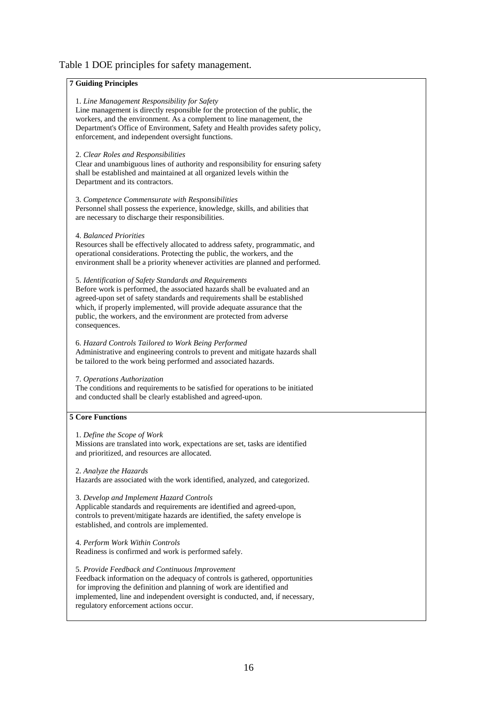#### Table 1 DOE principles for safety management.

#### **7 Guiding Principles**

#### 1. *Line Management Responsibility for Safety*

 Line management is directly responsible for the protection of the public, the workers, and the environment. As a complement to line management, the Department's Office of Environment, Safety and Health provides safety policy, enforcement, and independent oversight functions.

#### 2. *Clear Roles and Responsibilities*

 Clear and unambiguous lines of authority and responsibility for ensuring safety shall be established and maintained at all organized levels within the Department and its contractors.

#### 3. *Competence Commensurate with Responsibilities*

 Personnel shall possess the experience, knowledge, skills, and abilities that are necessary to discharge their responsibilities.

#### 4. *Balanced Priorities*

 Resources shall be effectively allocated to address safety, programmatic, and operational considerations. Protecting the public, the workers, and the environment shall be a priority whenever activities are planned and performed.

#### 5. *Identification of Safety Standards and Requirements*

 Before work is performed, the associated hazards shall be evaluated and an agreed-upon set of safety standards and requirements shall be established which, if properly implemented, will provide adequate assurance that the public, the workers, and the environment are protected from adverse consequences.

#### 6. *Hazard Controls Tailored to Work Being Performed*

 Administrative and engineering controls to prevent and mitigate hazards shall be tailored to the work being performed and associated hazards.

#### 7. *Operations Authorization*

 The conditions and requirements to be satisfied for operations to be initiated and conducted shall be clearly established and agreed-upon.

#### **5 Core Functions**

#### 1. *Define the Scope of Work*

 Missions are translated into work, expectations are set, tasks are identified and prioritized, and resources are allocated.

#### 2. *Analyze the Hazards*

Hazards are associated with the work identified, analyzed, and categorized.

#### 3. *Develop and Implement Hazard Controls*

 Applicable standards and requirements are identified and agreed-upon, controls to prevent/mitigate hazards are identified, the safety envelope is established, and controls are implemented.

4. *Perform Work Within Controls*  Readiness is confirmed and work is performed safely.

5. *Provide Feedback and Continuous Improvement*  Feedback information on the adequacy of controls is gathered, opportunities for improving the definition and planning of work are identified and

 implemented, line and independent oversight is conducted, and, if necessary, regulatory enforcement actions occur.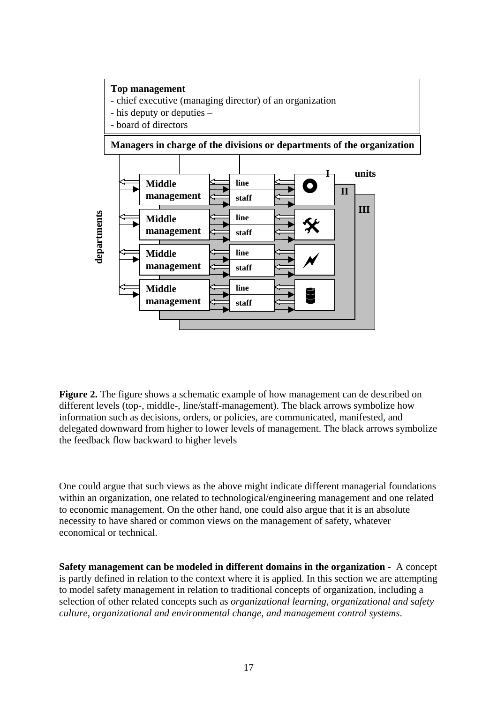

**Figure 2.** The figure shows a schematic example of how management can de described on different levels (top-, middle-, line/staff-management). The black arrows symbolize how information such as decisions, orders, or policies, are communicated, manifested, and delegated downward from higher to lower levels of management. The black arrows symbolize the feedback flow backward to higher levels

One could argue that such views as the above might indicate different managerial foundations within an organization, one related to technological/engineering management and one related to economic management. On the other hand, one could also argue that it is an absolute necessity to have shared or common views on the management of safety, whatever economical or technical.

**Safety management can be modeled in different domains in the organization -** A concept is partly defined in relation to the context where it is applied. In this section we are attempting to model safety management in relation to traditional concepts of organization, including a selection of other related concepts such as *organizational learning*, *organizational and safety culture*, *organizational and environmental change*, *and management control systems*.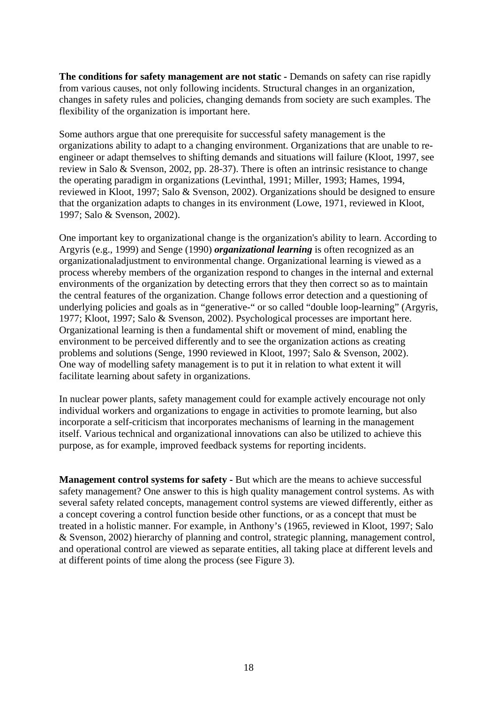**The conditions for safety management are not static** *-* Demands on safety can rise rapidly from various causes, not only following incidents. Structural changes in an organization, changes in safety rules and policies, changing demands from society are such examples. The flexibility of the organization is important here.

Some authors argue that one prerequisite for successful safety management is the organizations ability to adapt to a changing environment. Organizations that are unable to reengineer or adapt themselves to shifting demands and situations will failure (Kloot, 1997, see review in Salo & Svenson, 2002, pp. 28-37). There is often an intrinsic resistance to change the operating paradigm in organizations (Levinthal, 1991; Miller, 1993; Hames, 1994, reviewed in Kloot, 1997; Salo & Svenson, 2002). Organizations should be designed to ensure that the organization adapts to changes in its environment (Lowe, 1971, reviewed in Kloot, 1997; Salo & Svenson, 2002).

One important key to organizational change is the organization's ability to learn. According to Argyris (e.g., 1999) and Senge (1990) *organizational learning* is often recognized as an organizationaladjustment to environmental change. Organizational learning is viewed as a process whereby members of the organization respond to changes in the internal and external environments of the organization by detecting errors that they then correct so as to maintain the central features of the organization. Change follows error detection and a questioning of underlying policies and goals as in "generative-" or so called "double loop-learning" (Argyris, 1977; Kloot, 1997; Salo & Svenson, 2002). Psychological processes are important here. Organizational learning is then a fundamental shift or movement of mind, enabling the environment to be perceived differently and to see the organization actions as creating problems and solutions (Senge, 1990 reviewed in Kloot, 1997; Salo & Svenson, 2002). One way of modelling safety management is to put it in relation to what extent it will facilitate learning about safety in organizations.

In nuclear power plants, safety management could for example actively encourage not only individual workers and organizations to engage in activities to promote learning, but also incorporate a self-criticism that incorporates mechanisms of learning in the management itself. Various technical and organizational innovations can also be utilized to achieve this purpose, as for example, improved feedback systems for reporting incidents.

**Management control systems for safety -** But which are the means to achieve successful safety management? One answer to this is high quality management control systems. As with several safety related concepts, management control systems are viewed differently, either as a concept covering a control function beside other functions, or as a concept that must be treated in a holistic manner. For example, in Anthony's (1965, reviewed in Kloot, 1997; Salo & Svenson, 2002) hierarchy of planning and control, strategic planning, management control, and operational control are viewed as separate entities, all taking place at different levels and at different points of time along the process (see Figure 3).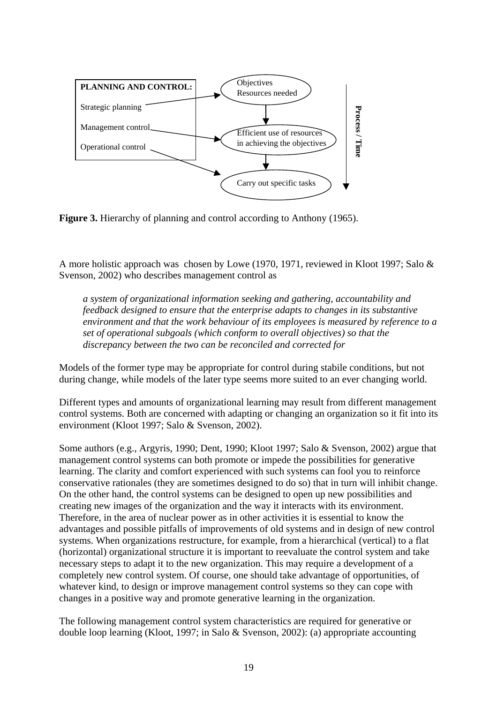

**Figure 3.** Hierarchy of planning and control according to Anthony (1965).

A more holistic approach was chosen by Lowe (1970, 1971, reviewed in Kloot 1997; Salo & Svenson, 2002) who describes management control as

*a system of organizational information seeking and gathering, accountability and feedback designed to ensure that the enterprise adapts to changes in its substantive environment and that the work behaviour of its employees is measured by reference to a set of operational subgoals (which conform to overall objectives) so that the discrepancy between the two can be reconciled and corrected for* 

Models of the former type may be appropriate for control during stabile conditions, but not during change, while models of the later type seems more suited to an ever changing world.

Different types and amounts of organizational learning may result from different management control systems. Both are concerned with adapting or changing an organization so it fit into its environment (Kloot 1997; Salo & Svenson, 2002).

Some authors (e.g., Argyris, 1990; Dent, 1990; Kloot 1997; Salo & Svenson, 2002) argue that management control systems can both promote or impede the possibilities for generative learning. The clarity and comfort experienced with such systems can fool you to reinforce conservative rationales (they are sometimes designed to do so) that in turn will inhibit change. On the other hand, the control systems can be designed to open up new possibilities and creating new images of the organization and the way it interacts with its environment. Therefore, in the area of nuclear power as in other activities it is essential to know the advantages and possible pitfalls of improvements of old systems and in design of new control systems. When organizations restructure, for example, from a hierarchical (vertical) to a flat (horizontal) organizational structure it is important to reevaluate the control system and take necessary steps to adapt it to the new organization. This may require a development of a completely new control system. Of course, one should take advantage of opportunities, of whatever kind, to design or improve management control systems so they can cope with changes in a positive way and promote generative learning in the organization.

The following management control system characteristics are required for generative or double loop learning (Kloot, 1997; in Salo & Svenson, 2002): (a) appropriate accounting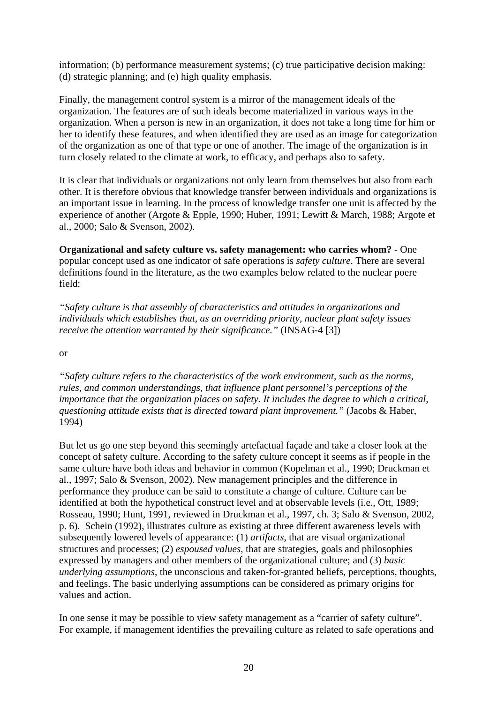information; (b) performance measurement systems; (c) true participative decision making: (d) strategic planning; and (e) high quality emphasis.

Finally, the management control system is a mirror of the management ideals of the organization. The features are of such ideals become materialized in various ways in the organization. When a person is new in an organization, it does not take a long time for him or her to identify these features, and when identified they are used as an image for categorization of the organization as one of that type or one of another. The image of the organization is in turn closely related to the climate at work, to efficacy, and perhaps also to safety.

It is clear that individuals or organizations not only learn from themselves but also from each other. It is therefore obvious that knowledge transfer between individuals and organizations is an important issue in learning. In the process of knowledge transfer one unit is affected by the experience of another (Argote & Epple, 1990; Huber, 1991; Lewitt & March, 1988; Argote et al., 2000; Salo & Svenson, 2002).

**Organizational and safety culture vs. safety management: who carries whom?** - One popular concept used as one indicator of safe operations is *safety culture*. There are several definitions found in the literature, as the two examples below related to the nuclear poere field:

*"Safety culture is that assembly of characteristics and attitudes in organizations and individuals which establishes that, as an overriding priority, nuclear plant safety issues receive the attention warranted by their significance."* (INSAG-4 [3])

or

*"Safety culture refers to the characteristics of the work environment, such as the norms, rules, and common understandings, that influence plant personnel's perceptions of the importance that the organization places on safety. It includes the degree to which a critical, questioning attitude exists that is directed toward plant improvement."* (Jacobs & Haber, 1994)

But let us go one step beyond this seemingly artefactual façade and take a closer look at the concept of safety culture. According to the safety culture concept it seems as if people in the same culture have both ideas and behavior in common (Kopelman et al., 1990; Druckman et al., 1997; Salo & Svenson, 2002). New management principles and the difference in performance they produce can be said to constitute a change of culture. Culture can be identified at both the hypothetical construct level and at observable levels (i.e., Ott, 1989; Rosseau, 1990; Hunt, 1991, reviewed in Druckman et al., 1997, ch. 3; Salo & Svenson, 2002, p. 6). Schein (1992), illustrates culture as existing at three different awareness levels with subsequently lowered levels of appearance: (1) *artifacts*, that are visual organizational structures and processes; (2) *espoused values*, that are strategies, goals and philosophies expressed by managers and other members of the organizational culture; and (3) *basic underlying assumptions*, the unconscious and taken-for-granted beliefs, perceptions, thoughts, and feelings. The basic underlying assumptions can be considered as primary origins for values and action.

In one sense it may be possible to view safety management as a "carrier of safety culture". For example, if management identifies the prevailing culture as related to safe operations and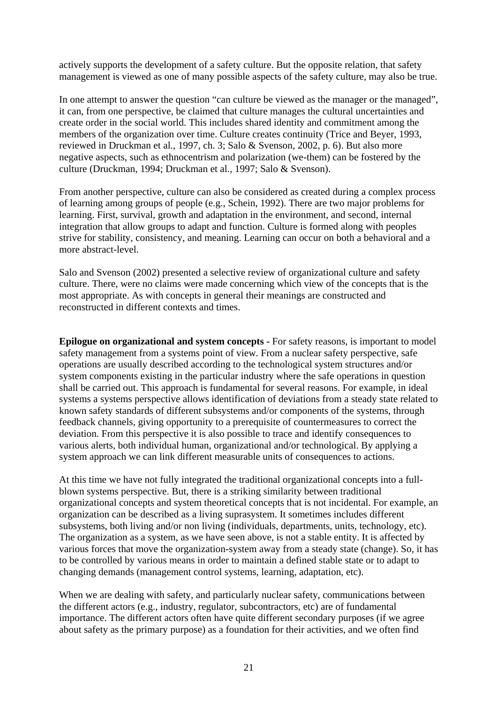actively supports the development of a safety culture. But the opposite relation, that safety management is viewed as one of many possible aspects of the safety culture, may also be true.

In one attempt to answer the question "can culture be viewed as the manager or the managed", it can, from one perspective, be claimed that culture manages the cultural uncertainties and create order in the social world. This includes shared identity and commitment among the members of the organization over time. Culture creates continuity (Trice and Beyer, 1993, reviewed in Druckman et al., 1997, ch. 3; Salo & Svenson, 2002, p. 6). But also more negative aspects, such as ethnocentrism and polarization (we-them) can be fostered by the culture (Druckman, 1994; Druckman et al., 1997; Salo & Svenson).

From another perspective, culture can also be considered as created during a complex process of learning among groups of people (e.g., Schein, 1992). There are two major problems for learning. First, survival, growth and adaptation in the environment, and second, internal integration that allow groups to adapt and function. Culture is formed along with peoples strive for stability, consistency, and meaning. Learning can occur on both a behavioral and a more abstract-level.

Salo and Svenson (2002) presented a selective review of organizational culture and safety culture. There, were no claims were made concerning which view of the concepts that is the most appropriate. As with concepts in general their meanings are constructed and reconstructed in different contexts and times.

**Epilogue on organizational and system concepts -** For safety reasons, is important to model safety management from a systems point of view. From a nuclear safety perspective, safe operations are usually described according to the technological system structures and/or system components existing in the particular industry where the safe operations in question shall be carried out. This approach is fundamental for several reasons. For example, in ideal systems a systems perspective allows identification of deviations from a steady state related to known safety standards of different subsystems and/or components of the systems, through feedback channels, giving opportunity to a prerequisite of countermeasures to correct the deviation. From this perspective it is also possible to trace and identify consequences to various alerts, both individual human, organizational and/or technological. By applying a system approach we can link different measurable units of consequences to actions.

At this time we have not fully integrated the traditional organizational concepts into a fullblown systems perspective. But, there is a striking similarity between traditional organizational concepts and system theoretical concepts that is not incidental. For example, an organization can be described as a living suprasystem. It sometimes includes different subsystems, both living and/or non living (individuals, departments, units, technology, etc). The organization as a system, as we have seen above, is not a stable entity. It is affected by various forces that move the organization-system away from a steady state (change). So, it has to be controlled by various means in order to maintain a defined stable state or to adapt to changing demands (management control systems, learning, adaptation, etc).

When we are dealing with safety, and particularly nuclear safety, communications between the different actors (e.g., industry, regulator, subcontractors, etc) are of fundamental importance. The different actors often have quite different secondary purposes (if we agree about safety as the primary purpose) as a foundation for their activities, and we often find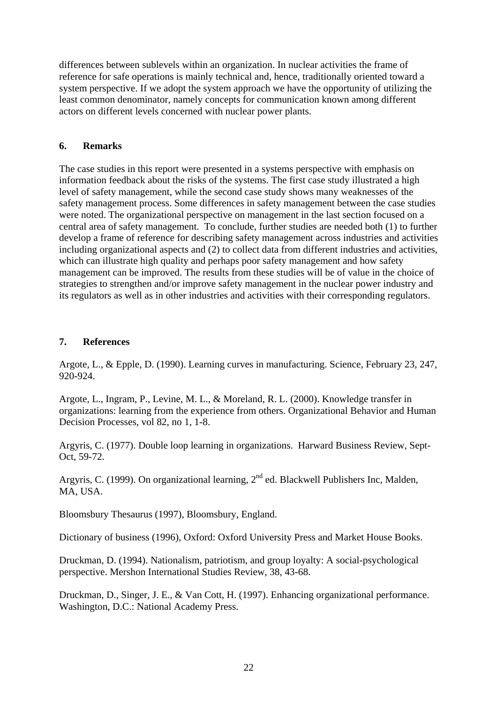differences between sublevels within an organization. In nuclear activities the frame of reference for safe operations is mainly technical and, hence, traditionally oriented toward a system perspective. If we adopt the system approach we have the opportunity of utilizing the least common denominator, namely concepts for communication known among different actors on different levels concerned with nuclear power plants.

#### **6. Remarks**

The case studies in this report were presented in a systems perspective with emphasis on information feedback about the risks of the systems. The first case study illustrated a high level of safety management, while the second case study shows many weaknesses of the safety management process. Some differences in safety management between the case studies were noted. The organizational perspective on management in the last section focused on a central area of safety management. To conclude, further studies are needed both (1) to further develop a frame of reference for describing safety management across industries and activities including organizational aspects and (2) to collect data from different industries and activities, which can illustrate high quality and perhaps poor safety management and how safety management can be improved. The results from these studies will be of value in the choice of strategies to strengthen and/or improve safety management in the nuclear power industry and its regulators as well as in other industries and activities with their corresponding regulators.

#### **7. References**

Argote, L., & Epple, D. (1990). Learning curves in manufacturing. Science, February 23, 247, 920-924.

Argote, L., Ingram, P., Levine, M. L., & Moreland, R. L. (2000). Knowledge transfer in organizations: learning from the experience from others. Organizational Behavior and Human Decision Processes, vol 82, no 1, 1-8.

Argyris, C. (1977). Double loop learning in organizations. Harward Business Review, Sept-Oct, 59-72.

Argyris, C. (1999). On organizational learning, 2<sup>nd</sup> ed. Blackwell Publishers Inc, Malden, MA, USA.

Bloomsbury Thesaurus (1997), Bloomsbury, England.

Dictionary of business (1996), Oxford: Oxford University Press and Market House Books.

Druckman, D. (1994). Nationalism, patriotism, and group loyalty: A social-psychological perspective. Mershon International Studies Review, 38, 43-68.

Druckman, D., Singer, J. E., & Van Cott, H. (1997). Enhancing organizational performance. Washington, D.C.: National Academy Press.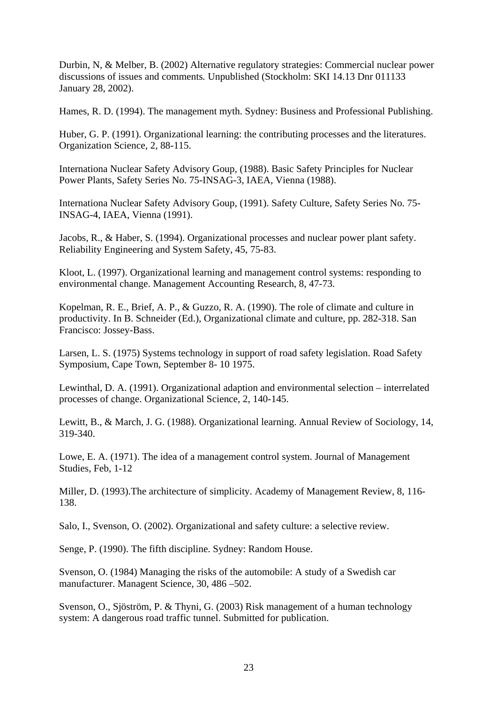Durbin, N, & Melber, B. (2002) Alternative regulatory strategies: Commercial nuclear power discussions of issues and comments*.* Unpublished (Stockholm: SKI 14.13 Dnr 011133 January 28, 2002).

Hames, R. D. (1994). The management myth. Sydney: Business and Professional Publishing.

Huber, G. P. (1991). Organizational learning: the contributing processes and the literatures. Organization Science, 2, 88-115.

Internationa Nuclear Safety Advisory Goup, (1988). Basic Safety Principles for Nuclear Power Plants, Safety Series No. 75-INSAG-3, IAEA, Vienna (1988).

Internationa Nuclear Safety Advisory Goup, (1991). Safety Culture, Safety Series No. 75- INSAG-4, IAEA, Vienna (1991).

Jacobs, R., & Haber, S. (1994). Organizational processes and nuclear power plant safety. Reliability Engineering and System Safety, 45, 75-83.

Kloot, L. (1997). Organizational learning and management control systems: responding to environmental change. Management Accounting Research, 8, 47-73.

Kopelman, R. E., Brief, A. P., & Guzzo, R. A. (1990). The role of climate and culture in productivity. In B. Schneider (Ed.), Organizational climate and culture, pp. 282-318. San Francisco: Jossey-Bass.

Larsen, L. S. (1975) Systems technology in support of road safety legislation. Road Safety Symposium, Cape Town, September 8- 10 1975.

Lewinthal, D. A. (1991). Organizational adaption and environmental selection – interrelated processes of change. Organizational Science, 2, 140-145.

Lewitt, B., & March, J. G. (1988). Organizational learning. Annual Review of Sociology, 14, 319-340.

Lowe, E. A. (1971). The idea of a management control system. Journal of Management Studies, Feb, 1-12

Miller, D. (1993).The architecture of simplicity. Academy of Management Review, 8, 116- 138.

Salo, I., Svenson, O. (2002). Organizational and safety culture: a selective review.

Senge, P. (1990). The fifth discipline. Sydney: Random House.

Svenson, O. (1984) Managing the risks of the automobile: A study of a Swedish car manufacturer. Managent Science, 30, 486 –502.

Svenson, O., Sjöström, P. & Thyni, G. (2003) Risk management of a human technology system: A dangerous road traffic tunnel. Submitted for publication.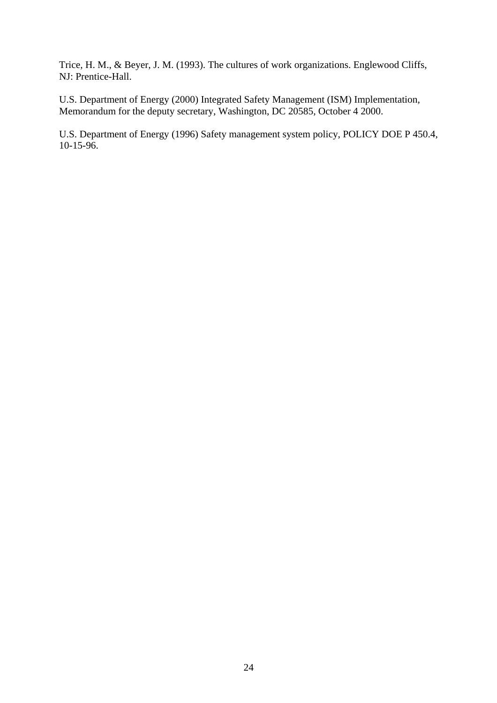Trice, H. M., & Beyer, J. M. (1993). The cultures of work organizations. Englewood Cliffs, NJ: Prentice-Hall.

U.S. Department of Energy (2000) Integrated Safety Management (ISM) Implementation, Memorandum for the deputy secretary, Washington, DC 20585, October 4 2000.

U.S. Department of Energy (1996) Safety management system policy, POLICY DOE P 450.4, 10-15-96.